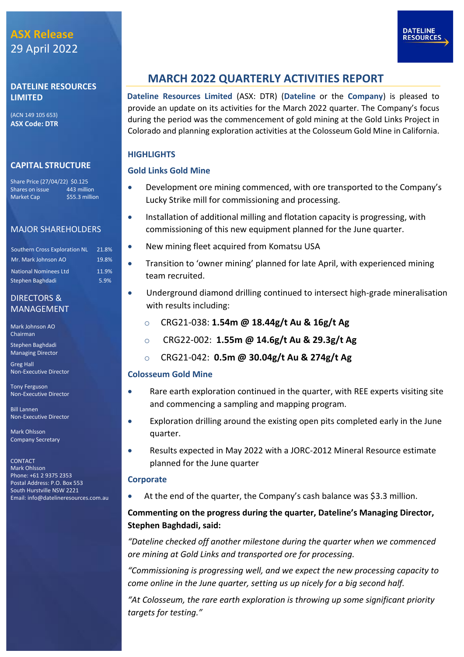## **DATELINE RESOURCES LIMITED**

(ACN 149 105 653) **ASX Code: DTR**

## **CAPITAL STRUCTURE**

Share Price (27/04/22) \$0.125 Shares on issue 443 million Market Cap \$55.3 million

## MAJOR SHAREHOLDERS

| <b>Southern Cross Exploration NL</b> | 21.8% |
|--------------------------------------|-------|
| Mr. Mark Johnson AO                  | 19.8% |
| <b>National Nominees Ltd</b>         | 11.9% |
| Stephen Baghdadi                     | 5.9%  |

## DIRECTORS & MANAGEMENT

Mark Johnson AO Chairman

Stephen Baghdadi Managing Director

Greg Hall Non-Executive Director

Tony Ferguson Non-Executive Director

Bill Lannen Non-Executive Director

Mark Ohlsson Company Secretary

CONTACT Mark Ohlsson Phone: +61 2 9375 2353 Postal Address: P.O. Box 553 South Hurstville NSW 2221 Email[: info@datelineresources.com.au](mailto:info@datelineresources.com.au)

## **MARCH 2022 QUARTERLY ACTIVITIES REPORT**

**Dateline Resources Limited** (ASX: DTR) (**Dateline** or the **Company**) is pleased to provide an update on its activities for the March 2022 quarter. The Company's focus during the period was the commencement of gold mining at the Gold Links Project in Colorado and planning exploration activities at the Colosseum Gold Mine in California.

## **HIGHLIGHTS**

## **Gold Links Gold Mine**

- Development ore mining commenced, with ore transported to the Company's Lucky Strike mill for commissioning and processing.
- Installation of additional milling and flotation capacity is progressing, with commissioning of this new equipment planned for the June quarter.
- New mining fleet acquired from Komatsu USA
- Transition to 'owner mining' planned for late April, with experienced mining team recruited.
- Underground diamond drilling continued to intersect high-grade mineralisation with results including:
	- o CRG21-038: **1.54m @ 18.44g/t Au & 16g/t Ag**
	- o CRG22-002: **1.55m @ 14.6g/t Au & 29.3g/t Ag**
	- o CRG21-042: **0.5m @ 30.04g/t Au & 274g/t Ag**

## **Colosseum Gold Mine**

- Rare earth exploration continued in the quarter, with REE experts visiting site and commencing a sampling and mapping program.
- Exploration drilling around the existing open pits completed early in the June quarter.
- Results expected in May 2022 with a JORC-2012 Mineral Resource estimate planned for the June quarter

### **Corporate**

• At the end of the quarter, the Company's cash balance was \$3.3 million.

## **Commenting on the progress during the quarter, Dateline's Managing Director, Stephen Baghdadi, said:**

*"Dateline checked off another milestone during the quarter when we commenced ore mining at Gold Links and transported ore for processing.*

*"Commissioning is progressing well, and we expect the new processing capacity to come online in the June quarter, setting us up nicely for a big second half.*

*"At Colosseum, the rare earth exploration is throwing up some significant priority targets for testing."*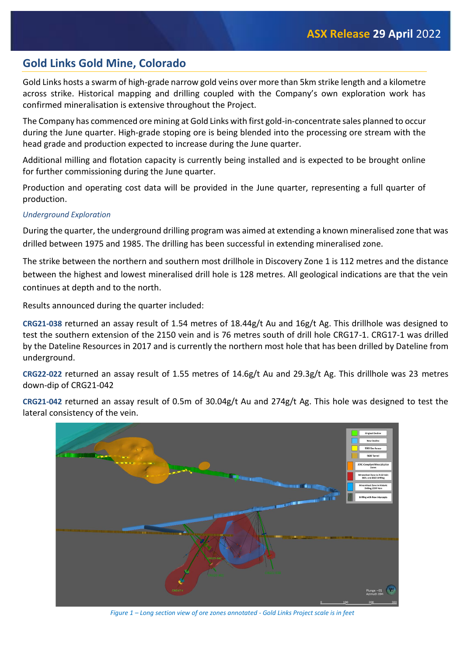## **Gold Links Gold Mine, Colorado**

Gold Links hosts a swarm of high-grade narrow gold veins over more than 5km strike length and a kilometre across strike. Historical mapping and drilling coupled with the Company's own exploration work has confirmed mineralisation is extensive throughout the Project.

The Company has commenced ore mining at Gold Links with first gold-in-concentrate sales planned to occur during the June quarter. High-grade stoping ore is being blended into the processing ore stream with the head grade and production expected to increase during the June quarter.

Additional milling and flotation capacity is currently being installed and is expected to be brought online for further commissioning during the June quarter.

Production and operating cost data will be provided in the June quarter, representing a full quarter of production.

### *Underground Exploration*

During the quarter, the underground drilling program was aimed at extending a known mineralised zone that was drilled between 1975 and 1985. The drilling has been successful in extending mineralised zone.

The strike between the northern and southern most drillhole in Discovery Zone 1 is 112 metres and the distance between the highest and lowest mineralised drill hole is 128 metres. All geological indications are that the vein continues at depth and to the north.

Results announced during the quarter included:

**CRG21-038** returned an assay result of 1.54 metres of 18.44g/t Au and 16g/t Ag. This drillhole was designed to test the southern extension of the 2150 vein and is 76 metres south of drill hole CRG17-1. CRG17-1 was drilled by the Dateline Resources in 2017 and is currently the northern most hole that has been drilled by Dateline from underground.

**CRG22-022** returned an assay result of 1.55 metres of 14.6g/t Au and 29.3g/t Ag. This drillhole was 23 metres down-dip of CRG21-042

**CRG21-042** returned an assay result of 0.5m of 30.04g/t Au and 274g/t Ag. This hole was designed to test the lateral consistency of the vein.



*Figure 1 – Long section view of ore zones annotated - Gold Links Project scale is in feet*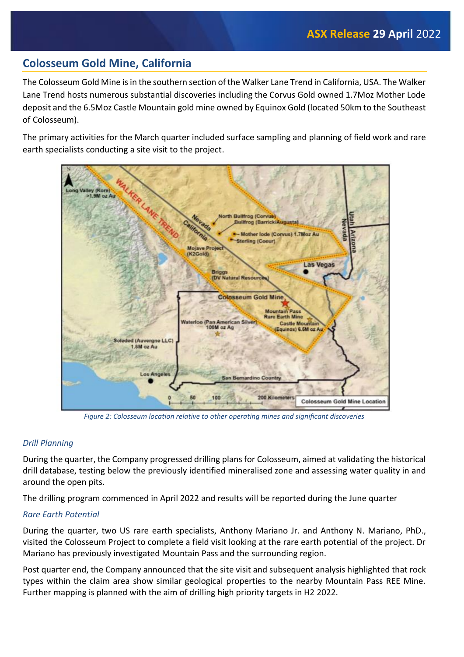## **Colosseum Gold Mine, California**

The Colosseum Gold Mine is in the southern section of the Walker Lane Trend in California, USA. The Walker Lane Trend hosts numerous substantial discoveries including the Corvus Gold owned 1.7Moz Mother Lode deposit and the 6.5Moz Castle Mountain gold mine owned by Equinox Gold (located 50km to the Southeast of Colosseum).

The primary activities for the March quarter included surface sampling and planning of field work and rare earth specialists conducting a site visit to the project.



*Figure 2: Colosseum location relative to other operating mines and significant discoveries*

## *Drill Planning*

During the quarter, the Company progressed drilling plans for Colosseum, aimed at validating the historical drill database, testing below the previously identified mineralised zone and assessing water quality in and around the open pits.

The drilling program commenced in April 2022 and results will be reported during the June quarter

## *Rare Earth Potential*

During the quarter, two US rare earth specialists, Anthony Mariano Jr. and Anthony N. Mariano, PhD., visited the Colosseum Project to complete a field visit looking at the rare earth potential of the project. Dr Mariano has previously investigated Mountain Pass and the surrounding region.

Post quarter end, the Company announced that the site visit and subsequent analysis highlighted that rock types within the claim area show similar geological properties to the nearby Mountain Pass REE Mine. Further mapping is planned with the aim of drilling high priority targets in H2 2022.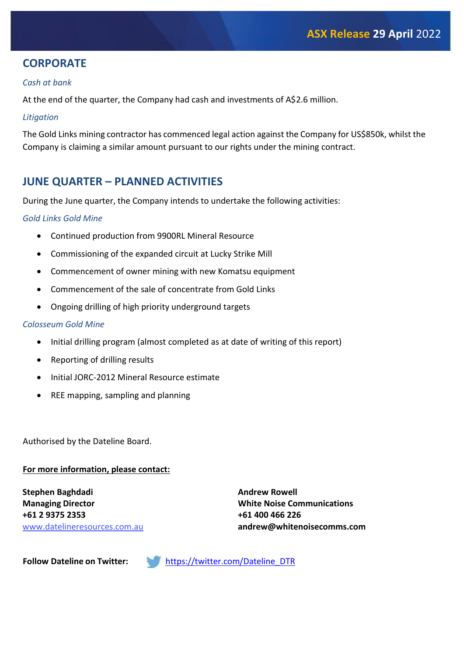## **CORPORATE**

## *Cash at bank*

At the end of the quarter, the Company had cash and investments of A\$2.6 million.

### *Litigation*

The Gold Links mining contractor has commenced legal action against the Company for US\$850k, whilst the Company is claiming a similar amount pursuant to our rights under the mining contract.

## **JUNE QUARTER – PLANNED ACTIVITIES**

During the June quarter, the Company intends to undertake the following activities:

## *Gold Links Gold Mine*

- Continued production from 9900RL Mineral Resource
- Commissioning of the expanded circuit at Lucky Strike Mill
- Commencement of owner mining with new Komatsu equipment
- Commencement of the sale of concentrate from Gold Links
- Ongoing drilling of high priority underground targets

## *Colosseum Gold Mine*

- Initial drilling program (almost completed as at date of writing of this report)
- Reporting of drilling results
- Initial JORC-2012 Mineral Resource estimate
- REE mapping, sampling and planning

Authorised by the Dateline Board.

### **For more information, please contact:**

**Stephen Baghdadi Managing Director +61 2 9375 2353** www.datelineresources.com.au **Andrew Rowell White Noise Communications +61 400 466 226 andrew@whitenoisecomms.com**

**Follow Dateline on Twitter:** [https://twitter.com/Dateline\\_DTR](https://twitter.com/Dateline_DTR)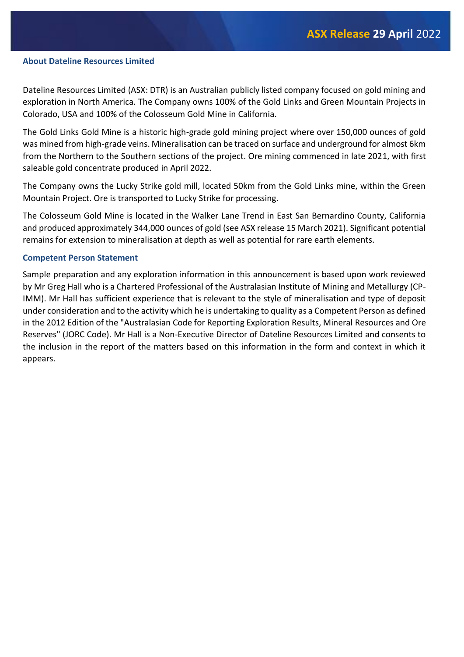#### **About Dateline Resources Limited**

Dateline Resources Limited (ASX: DTR) is an Australian publicly listed company focused on gold mining and exploration in North America. The Company owns 100% of the Gold Links and Green Mountain Projects in Colorado, USA and 100% of the Colosseum Gold Mine in California.

The Gold Links Gold Mine is a historic high-grade gold mining project where over 150,000 ounces of gold was mined from high-grade veins. Mineralisation can be traced on surface and underground for almost 6km from the Northern to the Southern sections of the project. Ore mining commenced in late 2021, with first saleable gold concentrate produced in April 2022.

The Company owns the Lucky Strike gold mill, located 50km from the Gold Links mine, within the Green Mountain Project. Ore is transported to Lucky Strike for processing.

The Colosseum Gold Mine is located in the Walker Lane Trend in East San Bernardino County, California and produced approximately 344,000 ounces of gold (see ASX release 15 March 2021). Significant potential remains for extension to mineralisation at depth as well as potential for rare earth elements.

#### **Competent Person Statement**

Sample preparation and any exploration information in this announcement is based upon work reviewed by Mr Greg Hall who is a Chartered Professional of the Australasian Institute of Mining and Metallurgy (CP-IMM). Mr Hall has sufficient experience that is relevant to the style of mineralisation and type of deposit under consideration and to the activity which he is undertaking to quality as a Competent Person as defined in the 2012 Edition of the "Australasian Code for Reporting Exploration Results, Mineral Resources and Ore Reserves" (JORC Code). Mr Hall is a Non-Executive Director of Dateline Resources Limited and consents to the inclusion in the report of the matters based on this information in the form and context in which it appears.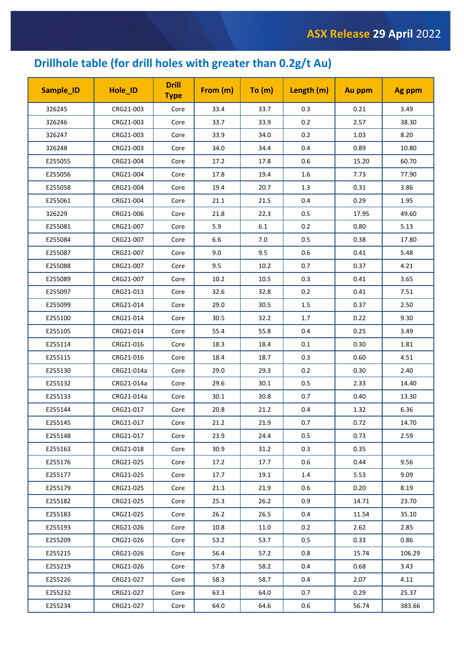## **Drillhole table (for drill holes with greater than 0.2g/t Au)**

| Sample_ID | Hole_ID    | <b>Drill</b><br><b>Type</b> | From (m) | To (m)  | Length (m) | Au ppm | Ag ppm |
|-----------|------------|-----------------------------|----------|---------|------------|--------|--------|
| 326245    | CRG21-003  | Core                        | 33.4     | 33.7    | 0.3        | 0.21   | 3.49   |
| 326246    | CRG21-003  | Core                        | 33.7     | 33.9    | 0.2        | 2.57   | 38.30  |
| 326247    | CRG21-003  | Core                        | 33.9     | 34.0    | 0.2        | 1.03   | 8.20   |
| 326248    | CRG21-003  | Core                        | 34.0     | 34.4    | 0.4        | 0.89   | 10.80  |
| E255055   | CRG21-004  | Core                        | 17.2     | 17.8    | 0.6        | 15.20  | 60.70  |
| E255056   | CRG21-004  | Core                        | 17.8     | 19.4    | $1.6\,$    | 7.73   | 77.90  |
| E255058   | CRG21-004  | Core                        | 19.4     | 20.7    | 1.3        | 0.31   | 3.86   |
| E255061   | CRG21-004  | Core                        | 21.1     | 21.5    | 0.4        | 0.29   | 1.95   |
| 326229    | CRG21-006  | Core                        | 21.8     | 22.3    | 0.5        | 17.95  | 49.60  |
| E255081   | CRG21-007  | Core                        | 5.9      | $6.1\,$ | 0.2        | 0.80   | 5.13   |
| E255084   | CRG21-007  | Core                        | 6.6      | 7.0     | 0.5        | 0.38   | 17.80  |
| E255087   | CRG21-007  | Core                        | 9.0      | 9.5     | 0.6        | 0.41   | 5.48   |
| E255088   | CRG21-007  | Core                        | 9.5      | 10.2    | 0.7        | 0.37   | 4.21   |
| E255089   | CRG21-007  | Core                        | 10.2     | 10.5    | 0.3        | 0.41   | 3.65   |
| E255097   | CRG21-013  | Core                        | 32.6     | 32.8    | 0.2        | 0.41   | 7.51   |
| E255099   | CRG21-014  | Core                        | 29.0     | 30.5    | $1.5\,$    | 0.37   | 2.50   |
| E255100   | CRG21-014  | Core                        | 30.5     | 32.2    | 1.7        | 0.22   | 9.30   |
| E255105   | CRG21-014  | Core                        | 55.4     | 55.8    | 0.4        | 0.25   | 3.49   |
| E255114   | CRG21-016  | Core                        | 18.3     | 18.4    | 0.1        | 0.30   | 1.81   |
| E255115   | CRG21-016  | Core                        | 18.4     | 18.7    | 0.3        | 0.60   | 4.51   |
| E255130   | CRG21-014a | Core                        | 29.0     | 29.3    | 0.2        | 0.30   | 2.40   |
| E255132   | CRG21-014a | Core                        | 29.6     | 30.1    | 0.5        | 2.33   | 14.40  |
| E255133   | CRG21-014a | Core                        | 30.1     | 30.8    | 0.7        | 0.40   | 13.30  |
| E255144   | CRG21-017  | Core                        | 20.8     | 21.2    | 0.4        | 1.32   | 6.36   |
| E255145   | CRG21-017  | Core                        | 21.2     | 21.9    | 0.7        | 0.72   | 14.70  |
| E255148   | CRG21-017  | Core                        | 23.9     | 24.4    | 0.5        | 0.73   | 2.59   |
| E255163   | CRG21-018  | Core                        | 30.9     | 31.2    | 0.3        | 0.35   |        |
| E255176   | CRG21-025  | Core                        | 17.2     | 17.7    | 0.6        | 0.44   | 9.56   |
| E255177   | CRG21-025  | Core                        | 17.7     | 19.1    | 1.4        | 5.53   | 9.09   |
| E255179   | CRG21-025  | Core                        | 21.3     | 21.9    | 0.6        | 0.20   | 8.19   |
| E255182   | CRG21-025  | Core                        | 25.3     | 26.2    | 0.9        | 14.71  | 23.70  |
| E255183   | CRG21-025  | Core                        | 26.2     | 26.5    | 0.4        | 11.54  | 35.10  |
| E255193   | CRG21-026  | Core                        | 10.8     | 11.0    | 0.2        | 2.62   | 2.85   |
| E255209   | CRG21-026  | Core                        | 53.2     | 53.7    | 0.5        | 0.33   | 0.86   |
| E255215   | CRG21-026  | Core                        | 56.4     | 57.2    | 0.8        | 15.74  | 106.29 |
| E255219   | CRG21-026  | Core                        | 57.8     | 58.2    | 0.4        | 0.68   | 3.43   |
| E255226   | CRG21-027  | Core                        | 58.3     | 58.7    | 0.4        | 2.07   | 4.11   |
| E255232   | CRG21-027  | Core                        | 63.3     | 64.0    | 0.7        | 0.29   | 25.37  |
| E255234   | CRG21-027  | Core                        | 64.0     | 64.6    | 0.6        | 56.74  | 383.66 |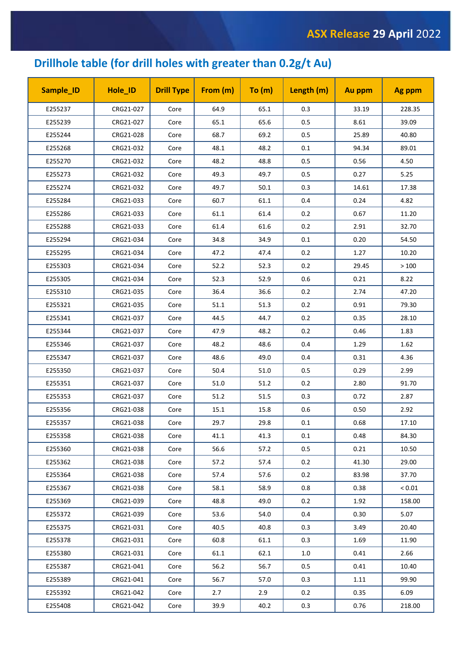## **Drillhole table (for drill holes with greater than 0.2g/t Au)**

| Sample_ID | Hole_ID   | <b>Drill Type</b> | From (m) | To (m) | Length (m) | Au ppm | Ag ppm        |
|-----------|-----------|-------------------|----------|--------|------------|--------|---------------|
| E255237   | CRG21-027 | Core              | 64.9     | 65.1   | 0.3        | 33.19  | 228.35        |
| E255239   | CRG21-027 | Core              | 65.1     | 65.6   | 0.5        | 8.61   | 39.09         |
| E255244   | CRG21-028 | Core              | 68.7     | 69.2   | 0.5        | 25.89  | 40.80         |
| E255268   | CRG21-032 | Core              | 48.1     | 48.2   | 0.1        | 94.34  | 89.01         |
| E255270   | CRG21-032 | Core              | 48.2     | 48.8   | 0.5        | 0.56   | 4.50          |
| E255273   | CRG21-032 | Core              | 49.3     | 49.7   | 0.5        | 0.27   | 5.25          |
| E255274   | CRG21-032 | Core              | 49.7     | 50.1   | 0.3        | 14.61  | 17.38         |
| E255284   | CRG21-033 | Core              | 60.7     | 61.1   | 0.4        | 0.24   | 4.82          |
| E255286   | CRG21-033 | Core              | 61.1     | 61.4   | 0.2        | 0.67   | 11.20         |
| E255288   | CRG21-033 | Core              | 61.4     | 61.6   | 0.2        | 2.91   | 32.70         |
| E255294   | CRG21-034 | Core              | 34.8     | 34.9   | 0.1        | 0.20   | 54.50         |
| E255295   | CRG21-034 | Core              | 47.2     | 47.4   | 0.2        | 1.27   | 10.20         |
| E255303   | CRG21-034 | Core              | 52.2     | 52.3   | 0.2        | 29.45  | >100          |
| E255305   | CRG21-034 | Core              | 52.3     | 52.9   | 0.6        | 0.21   | 8.22          |
| E255310   | CRG21-035 | Core              | 36.4     | 36.6   | 0.2        | 2.74   | 47.20         |
| E255321   | CRG21-035 | Core              | 51.1     | 51.3   | 0.2        | 0.91   | 79.30         |
| E255341   | CRG21-037 | Core              | 44.5     | 44.7   | 0.2        | 0.35   | 28.10         |
| E255344   | CRG21-037 | Core              | 47.9     | 48.2   | 0.2        | 0.46   | 1.83          |
| E255346   | CRG21-037 | Core              | 48.2     | 48.6   | 0.4        | 1.29   | 1.62          |
| E255347   | CRG21-037 | Core              | 48.6     | 49.0   | 0.4        | 0.31   | 4.36          |
| E255350   | CRG21-037 | Core              | 50.4     | 51.0   | 0.5        | 0.29   | 2.99          |
| E255351   | CRG21-037 | Core              | 51.0     | 51.2   | 0.2        | 2.80   | 91.70         |
| E255353   | CRG21-037 | Core              | 51.2     | 51.5   | 0.3        | 0.72   | 2.87          |
| E255356   | CRG21-038 | Core              | 15.1     | 15.8   | 0.6        | 0.50   | 2.92          |
| E255357   | CRG21-038 | Core              | 29.7     | 29.8   | 0.1        | 0.68   | 17.10         |
| E255358   | CRG21-038 | Core              | 41.1     | 41.3   | 0.1        | 0.48   | 84.30         |
| E255360   | CRG21-038 | Core              | 56.6     | 57.2   | 0.5        | 0.21   | 10.50         |
| E255362   | CRG21-038 | Core              | 57.2     | 57.4   | 0.2        | 41.30  | 29.00         |
| E255364   | CRG21-038 | Core              | 57.4     | 57.6   | 0.2        | 83.98  | 37.70         |
| E255367   | CRG21-038 | Core              | 58.1     | 58.9   | 0.8        | 0.38   | ${}_{< 0.01}$ |
| E255369   | CRG21-039 | Core              | 48.8     | 49.0   | 0.2        | 1.92   | 158.00        |
| E255372   | CRG21-039 | Core              | 53.6     | 54.0   | 0.4        | 0.30   | 5.07          |
| E255375   | CRG21-031 | Core              | 40.5     | 40.8   | 0.3        | 3.49   | 20.40         |
| E255378   | CRG21-031 | Core              | 60.8     | 61.1   | 0.3        | 1.69   | 11.90         |
| E255380   | CRG21-031 | Core              | 61.1     | 62.1   | 1.0        | 0.41   | 2.66          |
| E255387   | CRG21-041 | Core              | 56.2     | 56.7   | 0.5        | 0.41   | 10.40         |
| E255389   | CRG21-041 | Core              | 56.7     | 57.0   | 0.3        | 1.11   | 99.90         |
| E255392   | CRG21-042 | Core              | 2.7      | 2.9    | 0.2        | 0.35   | 6.09          |
| E255408   | CRG21-042 | Core              | 39.9     | 40.2   | 0.3        | 0.76   | 218.00        |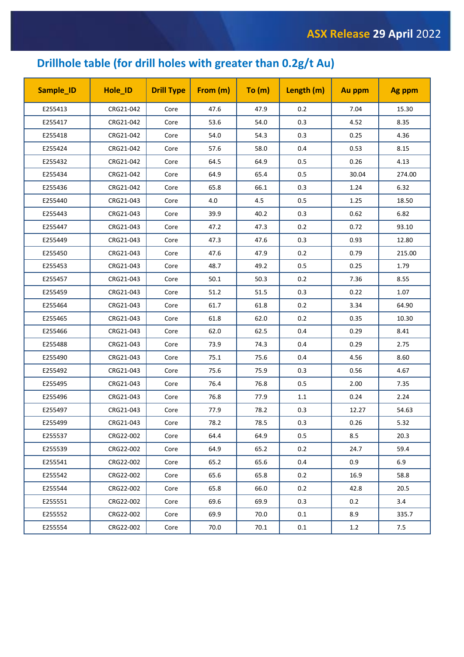## **Drillhole table (for drill holes with greater than 0.2g/t Au)**

| Sample_ID | Hole_ID   | <b>Drill Type</b> | From (m) | To (m) | Length (m) | Au ppm | Ag ppm |
|-----------|-----------|-------------------|----------|--------|------------|--------|--------|
| E255413   | CRG21-042 | Core              | 47.6     | 47.9   | 0.2        | 7.04   | 15.30  |
| E255417   | CRG21-042 | Core              | 53.6     | 54.0   | 0.3        | 4.52   | 8.35   |
| E255418   | CRG21-042 | Core              | 54.0     | 54.3   | 0.3        | 0.25   | 4.36   |
| E255424   | CRG21-042 | Core              | 57.6     | 58.0   | 0.4        | 0.53   | 8.15   |
| E255432   | CRG21-042 | Core              | 64.5     | 64.9   | 0.5        | 0.26   | 4.13   |
| E255434   | CRG21-042 | Core              | 64.9     | 65.4   | 0.5        | 30.04  | 274.00 |
| E255436   | CRG21-042 | Core              | 65.8     | 66.1   | 0.3        | 1.24   | 6.32   |
| E255440   | CRG21-043 | Core              | 4.0      | 4.5    | 0.5        | 1.25   | 18.50  |
| E255443   | CRG21-043 | Core              | 39.9     | 40.2   | 0.3        | 0.62   | 6.82   |
| E255447   | CRG21-043 | Core              | 47.2     | 47.3   | 0.2        | 0.72   | 93.10  |
| E255449   | CRG21-043 | Core              | 47.3     | 47.6   | 0.3        | 0.93   | 12.80  |
| E255450   | CRG21-043 | Core              | 47.6     | 47.9   | 0.2        | 0.79   | 215.00 |
| E255453   | CRG21-043 | Core              | 48.7     | 49.2   | 0.5        | 0.25   | 1.79   |
| E255457   | CRG21-043 | Core              | 50.1     | 50.3   | 0.2        | 7.36   | 8.55   |
| E255459   | CRG21-043 | Core              | 51.2     | 51.5   | 0.3        | 0.22   | 1.07   |
| E255464   | CRG21-043 | Core              | 61.7     | 61.8   | 0.2        | 3.34   | 64.90  |
| E255465   | CRG21-043 | Core              | 61.8     | 62.0   | 0.2        | 0.35   | 10.30  |
| E255466   | CRG21-043 | Core              | 62.0     | 62.5   | 0.4        | 0.29   | 8.41   |
| E255488   | CRG21-043 | Core              | 73.9     | 74.3   | 0.4        | 0.29   | 2.75   |
| E255490   | CRG21-043 | Core              | 75.1     | 75.6   | 0.4        | 4.56   | 8.60   |
| E255492   | CRG21-043 | Core              | 75.6     | 75.9   | 0.3        | 0.56   | 4.67   |
| E255495   | CRG21-043 | Core              | 76.4     | 76.8   | 0.5        | 2.00   | 7.35   |
| E255496   | CRG21-043 | Core              | 76.8     | 77.9   | 1.1        | 0.24   | 2.24   |
| E255497   | CRG21-043 | Core              | 77.9     | 78.2   | 0.3        | 12.27  | 54.63  |
| E255499   | CRG21-043 | Core              | 78.2     | 78.5   | 0.3        | 0.26   | 5.32   |
| E255537   | CRG22-002 | Core              | 64.4     | 64.9   | 0.5        | 8.5    | 20.3   |
| E255539   | CRG22-002 | Core              | 64.9     | 65.2   | 0.2        | 24.7   | 59.4   |
| E255541   | CRG22-002 | Core              | 65.2     | 65.6   | 0.4        | 0.9    | 6.9    |
| E255542   | CRG22-002 | Core              | 65.6     | 65.8   | 0.2        | 16.9   | 58.8   |
| E255544   | CRG22-002 | Core              | 65.8     | 66.0   | 0.2        | 42.8   | 20.5   |
| E255551   | CRG22-002 | Core              | 69.6     | 69.9   | 0.3        | 0.2    | 3.4    |
| E255552   | CRG22-002 | Core              | 69.9     | 70.0   | 0.1        | 8.9    | 335.7  |
| E255554   | CRG22-002 | Core              | 70.0     | 70.1   | 0.1        | 1.2    | 7.5    |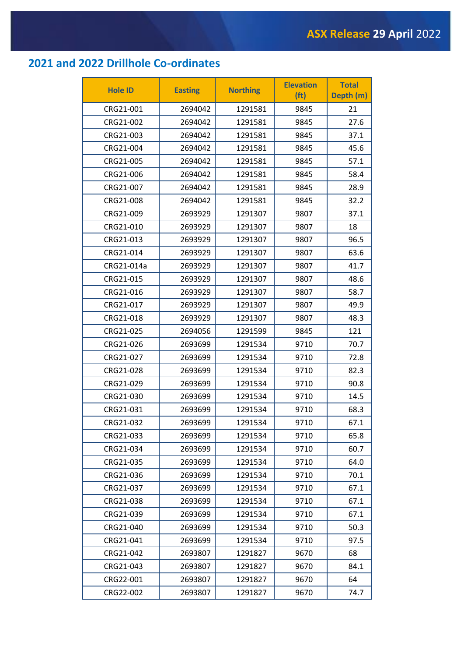## **2021 and 2022 Drillhole Co-ordinates**

| <b>Hole ID</b> | <b>Easting</b> | <b>Northing</b> | <b>Elevation</b><br>(f <sub>t</sub> ) | <b>Total</b><br>Depth (m) |
|----------------|----------------|-----------------|---------------------------------------|---------------------------|
| CRG21-001      | 2694042        | 1291581         | 9845                                  | 21                        |
| CRG21-002      | 2694042        | 1291581         | 9845                                  | 27.6                      |
| CRG21-003      | 2694042        | 1291581         | 9845                                  | 37.1                      |
| CRG21-004      | 2694042        | 1291581         | 9845                                  | 45.6                      |
| CRG21-005      | 2694042        | 1291581         | 9845                                  | 57.1                      |
| CRG21-006      | 2694042        | 1291581         | 9845                                  | 58.4                      |
| CRG21-007      | 2694042        | 1291581         | 9845                                  | 28.9                      |
| CRG21-008      | 2694042        | 1291581         | 9845                                  | 32.2                      |
| CRG21-009      | 2693929        | 1291307         | 9807                                  | 37.1                      |
| CRG21-010      | 2693929        | 1291307         | 9807                                  | 18                        |
| CRG21-013      | 2693929        | 1291307         | 9807                                  | 96.5                      |
| CRG21-014      | 2693929        | 1291307         | 9807                                  | 63.6                      |
| CRG21-014a     | 2693929        | 1291307         | 9807                                  | 41.7                      |
| CRG21-015      | 2693929        | 1291307         | 9807                                  | 48.6                      |
| CRG21-016      | 2693929        | 1291307         | 9807                                  | 58.7                      |
| CRG21-017      | 2693929        | 1291307         | 9807                                  | 49.9                      |
| CRG21-018      | 2693929        | 1291307         | 9807                                  | 48.3                      |
| CRG21-025      | 2694056        | 1291599         | 9845                                  | 121                       |
| CRG21-026      | 2693699        | 1291534         | 9710                                  | 70.7                      |
| CRG21-027      | 2693699        | 1291534         | 9710                                  | 72.8                      |
| CRG21-028      | 2693699        | 1291534         | 9710                                  | 82.3                      |
| CRG21-029      | 2693699        | 1291534         | 9710                                  | 90.8                      |
| CRG21-030      | 2693699        | 1291534         | 9710                                  | 14.5                      |
| CRG21-031      | 2693699        | 1291534         | 9710                                  | 68.3                      |
| CRG21-032      | 2693699        | 1291534         | 9710                                  | 67.1                      |
| CRG21-033      | 2693699        | 1291534         | 9710                                  | 65.8                      |
| CRG21-034      | 2693699        | 1291534         | 9710                                  | 60.7                      |
| CRG21-035      | 2693699        | 1291534         | 9710                                  | 64.0                      |
| CRG21-036      | 2693699        | 1291534         | 9710                                  | 70.1                      |
| CRG21-037      | 2693699        | 1291534         | 9710                                  | 67.1                      |
| CRG21-038      | 2693699        | 1291534         | 9710                                  | 67.1                      |
| CRG21-039      | 2693699        | 1291534         | 9710                                  | 67.1                      |
| CRG21-040      | 2693699        | 1291534         | 9710                                  | 50.3                      |
| CRG21-041      | 2693699        | 1291534         | 9710                                  | 97.5                      |
| CRG21-042      | 2693807        | 1291827         | 9670                                  | 68                        |
| CRG21-043      | 2693807        | 1291827         | 9670                                  | 84.1                      |
| CRG22-001      | 2693807        | 1291827         | 9670                                  | 64                        |
| CRG22-002      | 2693807        | 1291827         | 9670                                  | 74.7                      |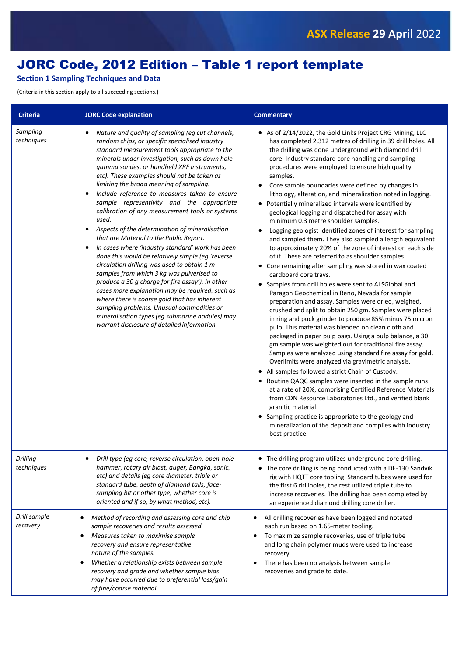## JORC Code, 2012 Edition – Table 1 report template

### **Section 1 Sampling Techniques and Data**

(Criteria in this section apply to all succeeding sections.)

| <b>Criteria</b>               | <b>JORC Code explanation</b>                                                                                                                                                                                                                                                                                                                                                                                                                                                                                                                                                                                                                                                                                                                                                                                                                                                                                                                                                                                                                                                                                     | <b>Commentary</b>                                                                                                                                                                                                                                                                                                                                                                                                                                                                                                                                                                                                                                                                                                                                                                                                                                                                                                                                                                                                                                                                                                                                                                                                                                                                                                                                                                                                                                                                                                                                                                                                                                                                                                                                                                                                                                                                                           |
|-------------------------------|------------------------------------------------------------------------------------------------------------------------------------------------------------------------------------------------------------------------------------------------------------------------------------------------------------------------------------------------------------------------------------------------------------------------------------------------------------------------------------------------------------------------------------------------------------------------------------------------------------------------------------------------------------------------------------------------------------------------------------------------------------------------------------------------------------------------------------------------------------------------------------------------------------------------------------------------------------------------------------------------------------------------------------------------------------------------------------------------------------------|-------------------------------------------------------------------------------------------------------------------------------------------------------------------------------------------------------------------------------------------------------------------------------------------------------------------------------------------------------------------------------------------------------------------------------------------------------------------------------------------------------------------------------------------------------------------------------------------------------------------------------------------------------------------------------------------------------------------------------------------------------------------------------------------------------------------------------------------------------------------------------------------------------------------------------------------------------------------------------------------------------------------------------------------------------------------------------------------------------------------------------------------------------------------------------------------------------------------------------------------------------------------------------------------------------------------------------------------------------------------------------------------------------------------------------------------------------------------------------------------------------------------------------------------------------------------------------------------------------------------------------------------------------------------------------------------------------------------------------------------------------------------------------------------------------------------------------------------------------------------------------------------------------------|
| Sampling<br>techniques        | Nature and quality of sampling (eg cut channels,<br>random chips, or specific specialised industry<br>standard measurement tools appropriate to the<br>minerals under investigation, such as down hole<br>gamma sondes, or handheld XRF instruments,<br>etc). These examples should not be taken as<br>limiting the broad meaning of sampling.<br>Include reference to measures taken to ensure<br>sample representivity and the appropriate<br>calibration of any measurement tools or systems<br>used.<br>Aspects of the determination of mineralisation<br>that are Material to the Public Report.<br>In cases where 'industry standard' work has been<br>done this would be relatively simple (eg 'reverse<br>circulation drilling was used to obtain 1 m<br>samples from which 3 kg was pulverised to<br>produce a 30 g charge for fire assay'). In other<br>cases more explanation may be required, such as<br>where there is coarse gold that has inherent<br>sampling problems. Unusual commodities or<br>mineralisation types (eg submarine nodules) may<br>warrant disclosure of detailed information. | • As of 2/14/2022, the Gold Links Project CRG Mining, LLC<br>has completed 2,312 metres of drilling in 39 drill holes. All<br>the drilling was done underground with diamond drill<br>core. Industry standard core handling and sampling<br>procedures were employed to ensure high quality<br>samples.<br>Core sample boundaries were defined by changes in<br>lithology, alteration, and mineralization noted in logging.<br>Potentially mineralized intervals were identified by<br>geological logging and dispatched for assay with<br>minimum 0.3 metre shoulder samples.<br>Logging geologist identified zones of interest for sampling<br>and sampled them. They also sampled a length equivalent<br>to approximately 20% of the zone of interest on each side<br>of it. These are referred to as shoulder samples.<br>• Core remaining after sampling was stored in wax coated<br>cardboard core trays.<br>• Samples from drill holes were sent to ALSGlobal and<br>Paragon Geochemical in Reno, Nevada for sample<br>preparation and assay. Samples were dried, weighed,<br>crushed and split to obtain 250 gm. Samples were placed<br>in ring and puck grinder to produce 85% minus 75 micron<br>pulp. This material was blended on clean cloth and<br>packaged in paper pulp bags. Using a pulp balance, a 30<br>gm sample was weighted out for traditional fire assay.<br>Samples were analyzed using standard fire assay for gold.<br>Overlimits were analyzed via gravimetric analysis.<br>• All samples followed a strict Chain of Custody.<br>• Routine QAQC samples were inserted in the sample runs<br>at a rate of 20%, comprising Certified Reference Materials<br>from CDN Resource Laboratories Ltd., and verified blank<br>granitic material.<br>• Sampling practice is appropriate to the geology and<br>mineralization of the deposit and complies with industry<br>best practice. |
| <b>Drilling</b><br>techniques | Drill type (eg core, reverse circulation, open-hole<br>hammer, rotary air blast, auger, Bangka, sonic,<br>etc) and details (eg core diameter, triple or<br>standard tube, depth of diamond tails, face-<br>sampling bit or other type, whether core is<br>oriented and if so, by what method, etc).                                                                                                                                                                                                                                                                                                                                                                                                                                                                                                                                                                                                                                                                                                                                                                                                              | The drilling program utilizes underground core drilling.<br>• The core drilling is being conducted with a DE-130 Sandvik<br>rig with HQTT core tooling. Standard tubes were used for<br>the first 6 drillholes, the rest utilized triple tube to<br>increase recoveries. The drilling has been completed by<br>an experienced diamond drilling core driller.                                                                                                                                                                                                                                                                                                                                                                                                                                                                                                                                                                                                                                                                                                                                                                                                                                                                                                                                                                                                                                                                                                                                                                                                                                                                                                                                                                                                                                                                                                                                                |
| Drill sample<br>recovery      | Method of recording and assessing core and chip<br>sample recoveries and results assessed.<br>Measures taken to maximise sample<br>٠<br>recovery and ensure representative<br>nature of the samples.<br>Whether a relationship exists between sample<br>recovery and grade and whether sample bias<br>may have occurred due to preferential loss/gain<br>of fine/coarse material.                                                                                                                                                                                                                                                                                                                                                                                                                                                                                                                                                                                                                                                                                                                                | All drilling recoveries have been logged and notated<br>each run based on 1.65-meter tooling.<br>To maximize sample recoveries, use of triple tube<br>and long chain polymer muds were used to increase<br>recovery.<br>There has been no analysis between sample<br>recoveries and grade to date.                                                                                                                                                                                                                                                                                                                                                                                                                                                                                                                                                                                                                                                                                                                                                                                                                                                                                                                                                                                                                                                                                                                                                                                                                                                                                                                                                                                                                                                                                                                                                                                                          |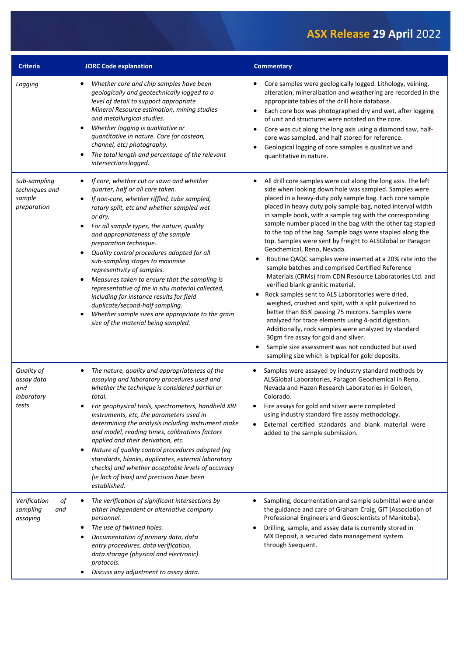| <b>Criteria</b>                                         | <b>JORC Code explanation</b>                                                                                                                                                                                                                                                                                                                                                                                                                                                                                                                                                                                                                                                                                 | <b>Commentary</b>                                                                                                                                                                                                                                                                                                                                                                                                                                                                                                                                                                                                                                                                                                                                                                                                                                                                                                                                                                                                                                                                                                                                                                             |
|---------------------------------------------------------|--------------------------------------------------------------------------------------------------------------------------------------------------------------------------------------------------------------------------------------------------------------------------------------------------------------------------------------------------------------------------------------------------------------------------------------------------------------------------------------------------------------------------------------------------------------------------------------------------------------------------------------------------------------------------------------------------------------|-----------------------------------------------------------------------------------------------------------------------------------------------------------------------------------------------------------------------------------------------------------------------------------------------------------------------------------------------------------------------------------------------------------------------------------------------------------------------------------------------------------------------------------------------------------------------------------------------------------------------------------------------------------------------------------------------------------------------------------------------------------------------------------------------------------------------------------------------------------------------------------------------------------------------------------------------------------------------------------------------------------------------------------------------------------------------------------------------------------------------------------------------------------------------------------------------|
| Logging                                                 | Whether core and chip samples have been<br>geologically and geotechnically logged to a<br>level of detail to support appropriate<br>Mineral Resource estimation, mining studies<br>and metallurgical studies.<br>Whether logging is qualitative or<br>quantitative in nature. Core (or costean,<br>channel, etc) photography.<br>The total length and percentage of the relevant<br>intersectionslogged.                                                                                                                                                                                                                                                                                                     | Core samples were geologically logged. Lithology, veining,<br>alteration, mineralization and weathering are recorded in the<br>appropriate tables of the drill hole database.<br>Each core box was photographed dry and wet, after logging<br>٠<br>of unit and structures were notated on the core.<br>Core was cut along the long axis using a diamond saw, half-<br>٠<br>core was sampled, and half stored for reference.<br>Geological logging of core samples is qualitative and<br>quantitative in nature.                                                                                                                                                                                                                                                                                                                                                                                                                                                                                                                                                                                                                                                                               |
| Sub-sampling<br>techniques and<br>sample<br>preparation | If core, whether cut or sawn and whether<br>quarter, half or all core taken.<br>If non-core, whether riffled, tube sampled,<br>rotary split, etc and whether sampled wet<br>or dry.<br>For all sample types, the nature, quality<br>and appropriateness of the sample<br>preparation technique.<br>Quality control procedures adopted for all<br>sub-sampling stages to maximise<br>representivity of samples.<br>Measures taken to ensure that the sampling is<br>$\bullet$<br>representative of the in situ material collected,<br>including for instance results for field<br>duplicate/second-half sampling.<br>Whether sample sizes are appropriate to the grain<br>size of the material being sampled. | All drill core samples were cut along the long axis. The left<br>side when looking down hole was sampled. Samples were<br>placed in a heavy-duty poly sample bag. Each core sample<br>placed in heavy duty poly sample bag, noted interval width<br>in sample book, with a sample tag with the corresponding<br>sample number placed in the bag with the other tag stapled<br>to the top of the bag. Sample bags were stapled along the<br>top. Samples were sent by freight to ALSGlobal or Paragon<br>Geochemical, Reno, Nevada.<br>Routine QAQC samples were inserted at a 20% rate into the<br>0<br>sample batches and comprised Certified Reference<br>Materials (CRMs) from CDN Resource Laboratories Ltd. and<br>verified blank granitic material.<br>Rock samples sent to ALS Laboratories were dried,<br>weighed, crushed and split, with a split pulverized to<br>better than 85% passing 75 microns. Samples were<br>analyzed for trace elements using 4-acid digestion.<br>Additionally, rock samples were analyzed by standard<br>30gm fire assay for gold and silver.<br>Sample size assessment was not conducted but used<br>sampling size which is typical for gold deposits. |
| Quality of<br>assay data<br>and<br>laboratory<br>tests  | The nature, quality and appropriateness of the<br>٠<br>assaying and laboratory procedures used and<br>whether the technique is considered partial or<br>total.<br>For geophysical tools, spectrometers, handheld XRF<br>instruments, etc, the parameters used in<br>determining the analysis including instrument make<br>and model, reading times, calibrations factors<br>applied and their derivation, etc.<br>Nature of quality control procedures adopted (eg<br>standards, blanks, duplicates, external laboratory<br>checks) and whether acceptable levels of accuracy<br>(ie lack of bias) and precision have been<br>established.                                                                   | Samples were assayed by industry standard methods by<br>ALSGlobal Laboratories, Paragon Geochemical in Reno,<br>Nevada and Hazen Research Laboratories in Golden,<br>Colorado.<br>Fire assays for gold and silver were completed<br>using industry standard fire assay methodology.<br>External certified standards and blank material were<br>$\bullet$<br>added to the sample submission.                                                                                                                                                                                                                                                                                                                                                                                                                                                                                                                                                                                                                                                                                                                                                                                                   |
| Verification<br>of<br>sampling<br>and<br>assaying       | The verification of significant intersections by<br>either independent or alternative company<br>personnel.<br>The use of twinned holes.<br>Documentation of primary data, data<br>entry procedures, data verification,<br>data storage (physical and electronic)<br>protocols.<br>Discuss any adjustment to assay data.                                                                                                                                                                                                                                                                                                                                                                                     | Sampling, documentation and sample submittal were under<br>the guidance and care of Graham Craig, GIT (Association of<br>Professional Engineers and Geoscientists of Manitoba).<br>Drilling, sample, and assay data is currently stored in<br>٠<br>MX Deposit, a secured data management system<br>through Seequent.                                                                                                                                                                                                                                                                                                                                                                                                                                                                                                                                                                                                                                                                                                                                                                                                                                                                          |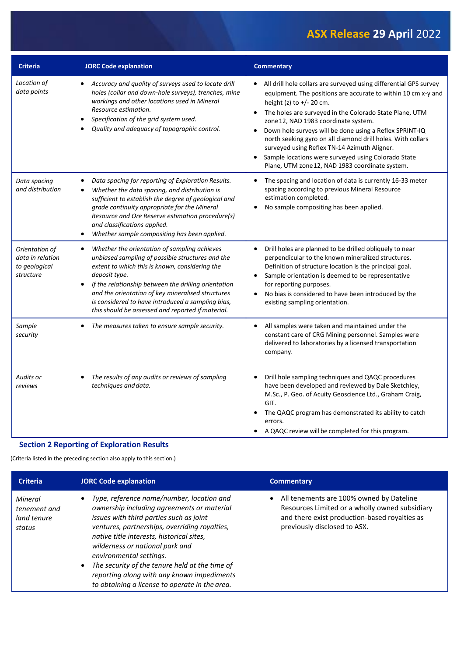| <b>Criteria</b>                                                  | <b>JORC Code explanation</b>                                                                                                                                                                                                                                                                                                                                                                            | <b>Commentary</b>                                                                                                                                                                                                                                                                                                                                                                                                                                                                                                                                                  |
|------------------------------------------------------------------|---------------------------------------------------------------------------------------------------------------------------------------------------------------------------------------------------------------------------------------------------------------------------------------------------------------------------------------------------------------------------------------------------------|--------------------------------------------------------------------------------------------------------------------------------------------------------------------------------------------------------------------------------------------------------------------------------------------------------------------------------------------------------------------------------------------------------------------------------------------------------------------------------------------------------------------------------------------------------------------|
| Location of<br>data points                                       | Accuracy and quality of surveys used to locate drill<br>holes (collar and down-hole surveys), trenches, mine<br>workings and other locations used in Mineral<br>Resource estimation.<br>Specification of the grid system used.<br>Quality and adequacy of topographic control.                                                                                                                          | All drill hole collars are surveyed using differential GPS survey<br>equipment. The positions are accurate to within 10 cm x-y and<br>height (z) to +/- 20 cm.<br>The holes are surveyed in the Colorado State Plane, UTM<br>zone 12, NAD 1983 coordinate system.<br>Down hole surveys will be done using a Reflex SPRINT-IQ<br>$\bullet$<br>north seeking gyro on all diamond drill holes. With collars<br>surveyed using Reflex TN-14 Azimuth Aligner.<br>Sample locations were surveyed using Colorado State<br>Plane, UTM zone 12, NAD 1983 coordinate system. |
| Data spacing<br>and distribution                                 | Data spacing for reporting of Exploration Results.<br>Whether the data spacing, and distribution is<br>sufficient to establish the degree of geological and<br>grade continuity appropriate for the Mineral<br>Resource and Ore Reserve estimation procedure(s)<br>and classifications applied.<br>Whether sample compositing has been applied.<br>٠                                                    | The spacing and location of data is currently 16-33 meter<br>spacing according to previous Mineral Resource<br>estimation completed.<br>No sample compositing has been applied.<br>$\bullet$                                                                                                                                                                                                                                                                                                                                                                       |
| Orientation of<br>data in relation<br>to geological<br>structure | Whether the orientation of sampling achieves<br>$\bullet$<br>unbiased sampling of possible structures and the<br>extent to which this is known, considering the<br>deposit type.<br>If the relationship between the drilling orientation<br>and the orientation of key mineralised structures<br>is considered to have introduced a sampling bias,<br>this should be assessed and reported if material. | Drill holes are planned to be drilled obliquely to near<br>$\bullet$<br>perpendicular to the known mineralized structures.<br>Definition of structure location is the principal goal.<br>Sample orientation is deemed to be representative<br>$\bullet$<br>for reporting purposes.<br>No bias is considered to have been introduced by the<br>existing sampling orientation.                                                                                                                                                                                       |
| Sample<br>security                                               | The measures taken to ensure sample security.                                                                                                                                                                                                                                                                                                                                                           | All samples were taken and maintained under the<br>$\bullet$<br>constant care of CRG Mining personnel. Samples were<br>delivered to laboratories by a licensed transportation<br>company.                                                                                                                                                                                                                                                                                                                                                                          |
| Audits or<br>reviews                                             | The results of any audits or reviews of sampling<br>techniques and data.                                                                                                                                                                                                                                                                                                                                | Drill hole sampling techniques and QAQC procedures<br>have been developed and reviewed by Dale Sketchley,<br>M.Sc., P. Geo. of Acuity Geoscience Ltd., Graham Craig,<br>GIT.<br>The QAQC program has demonstrated its ability to catch<br>errors.<br>A QAQC review will be completed for this program.                                                                                                                                                                                                                                                             |

#### **Section 2 Reporting of Exploration Results**

(Criteria listed in the preceding section also apply to this section.)

| <b>Criteria</b>                                  | JORC Code explanation                                                                                                                                                                                                                                                                                                                                                                                                                              | <b>Commentary</b>                                                                                                                                                             |
|--------------------------------------------------|----------------------------------------------------------------------------------------------------------------------------------------------------------------------------------------------------------------------------------------------------------------------------------------------------------------------------------------------------------------------------------------------------------------------------------------------------|-------------------------------------------------------------------------------------------------------------------------------------------------------------------------------|
| Mineral<br>tenement and<br>land tenure<br>status | • Type, reference name/number, location and<br>ownership including agreements or material<br>issues with third parties such as joint<br>ventures, partnerships, overriding royalties,<br>native title interests, historical sites,<br>wilderness or national park and<br>environmental settings.<br>The security of the tenure held at the time of<br>reporting along with any known impediments<br>to obtaining a license to operate in the area. | • All tenements are 100% owned by Dateline<br>Resources Limited or a wholly owned subsidiary<br>and there exist production-based royalties as<br>previously disclosed to ASX. |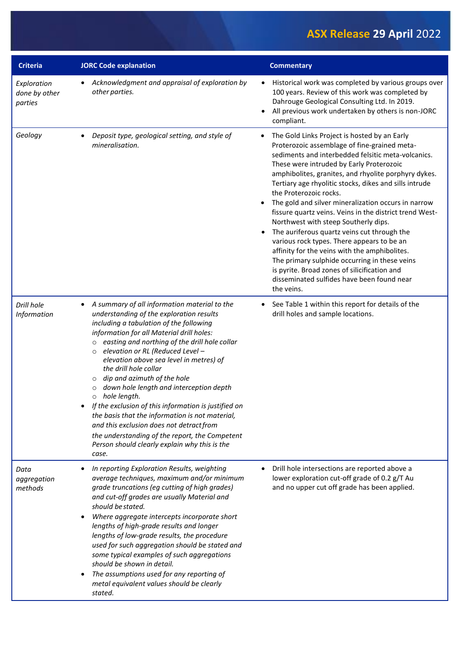| <b>Criteria</b>                         | <b>JORC Code explanation</b>                                                                                                                                                                                                                                                                                                                                                                                                                                                                                                                                                                                                                                                                                                                         | <b>Commentary</b>                                                                                                                                                                                                                                                                                                                                                                                                                                                                                                                                                                                                                                                                                                                                                                                                                         |
|-----------------------------------------|------------------------------------------------------------------------------------------------------------------------------------------------------------------------------------------------------------------------------------------------------------------------------------------------------------------------------------------------------------------------------------------------------------------------------------------------------------------------------------------------------------------------------------------------------------------------------------------------------------------------------------------------------------------------------------------------------------------------------------------------------|-------------------------------------------------------------------------------------------------------------------------------------------------------------------------------------------------------------------------------------------------------------------------------------------------------------------------------------------------------------------------------------------------------------------------------------------------------------------------------------------------------------------------------------------------------------------------------------------------------------------------------------------------------------------------------------------------------------------------------------------------------------------------------------------------------------------------------------------|
| Exploration<br>done by other<br>parties | Acknowledgment and appraisal of exploration by<br>$\bullet$<br>other parties.                                                                                                                                                                                                                                                                                                                                                                                                                                                                                                                                                                                                                                                                        | Historical work was completed by various groups over<br>$\bullet$<br>100 years. Review of this work was completed by<br>Dahrouge Geological Consulting Ltd. In 2019.<br>All previous work undertaken by others is non-JORC<br>compliant.                                                                                                                                                                                                                                                                                                                                                                                                                                                                                                                                                                                                  |
| Geology                                 | Deposit type, geological setting, and style of<br>mineralisation.                                                                                                                                                                                                                                                                                                                                                                                                                                                                                                                                                                                                                                                                                    | The Gold Links Project is hosted by an Early<br>$\bullet$<br>Proterozoic assemblage of fine-grained meta-<br>sediments and interbedded felsitic meta-volcanics.<br>These were intruded by Early Proterozoic<br>amphibolites, granites, and rhyolite porphyry dykes.<br>Tertiary age rhyolitic stocks, dikes and sills intrude<br>the Proterozoic rocks.<br>The gold and silver mineralization occurs in narrow<br>fissure quartz veins. Veins in the district trend West-<br>Northwest with steep Southerly dips.<br>The auriferous quartz veins cut through the<br>$\bullet$<br>various rock types. There appears to be an<br>affinity for the veins with the amphibolites.<br>The primary sulphide occurring in these veins<br>is pyrite. Broad zones of silicification and<br>disseminated sulfides have been found near<br>the veins. |
| Drill hole<br>Information               | A summary of all information material to the<br>$\bullet$<br>understanding of the exploration results<br>including a tabulation of the following<br>information for all Material drill holes:<br>easting and northing of the drill hole collar<br>$\circ$<br>elevation or RL (Reduced Level -<br>$\circ$<br>elevation above sea level in metres) of<br>the drill hole collar<br>dip and azimuth of the hole<br>$\circ$<br>down hole length and interception depth<br>hole length.<br>If the exclusion of this information is justified on<br>the basis that the information is not material,<br>and this exclusion does not detract from<br>the understanding of the report, the Competent<br>Person should clearly explain why this is the<br>case. | See Table 1 within this report for details of the<br>drill holes and sample locations.                                                                                                                                                                                                                                                                                                                                                                                                                                                                                                                                                                                                                                                                                                                                                    |
| Data<br>aggregation<br>methods          | In reporting Exploration Results, weighting<br>average techniques, maximum and/or minimum<br>grade truncations (eg cutting of high grades)<br>and cut-off grades are usually Material and<br>should be stated.<br>Where aggregate intercepts incorporate short<br>lengths of high-grade results and longer<br>lengths of low-grade results, the procedure<br>used for such aggregation should be stated and<br>some typical examples of such aggregations<br>should be shown in detail.<br>The assumptions used for any reporting of<br>$\bullet$<br>metal equivalent values should be clearly<br>stated.                                                                                                                                            | Drill hole intersections are reported above a<br>lower exploration cut-off grade of 0.2 g/T Au<br>and no upper cut off grade has been applied.                                                                                                                                                                                                                                                                                                                                                                                                                                                                                                                                                                                                                                                                                            |